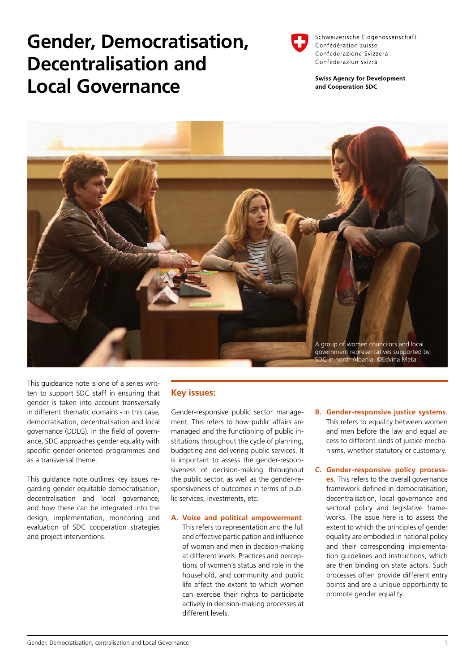# **Gender, Democratisation, Decentralisation and Local Governance**



Schweizerische Eidgenossenschaft Confédération suisse Confederazione Svizzera Confederaziun svizra

**Swiss Agency for Development** and Cooperation SDC



This guideance note is one of a series written to support SDC staff in ensuring that gender is taken into account transversally in different thematic domains - in this case, democratisation, decentralisation and local governance (DDLG). In the field of governance, SDC approaches gender equality with specific gender-oriented programmes and as a transversal theme.

This guidance note outlines key issues regarding gender equitable democratisation, decentralisation and local governance, and how these can be integrated into the design, implementation, monitoring and evaluation of SDC cooperation strategies and project interventions.

### **Key issues:**

Gender-responsive public sector management. This refers to how public affairs are managed and the functioning of public institutions throughout the cycle of planning, budgeting and delivering public services. It is important to assess the gender-responsiveness of decision-making throughout the public sector, as well as the gender-responsiveness of outcomes in terms of public services, investments, etc.

- **A. Voice and political empowerment**. This refers to representation and the full and effective participation and influence of women and men in decision-making at different levels. Practices and perceptions of women's status and role in the household, and community and public life affect the extent to which women can exercise their rights to participate actively in decision-making processes at different levels.
- **B. Gender-responsive justice systems**. This refers to equality between women and men before the law and equal access to different kinds of justice mechanisms, whether statutory or customary.
- **C. Gender-responsive policy processes**. This refers to the overall governance framework defined in democratisation, decentralisation, local governance and sectoral policy and legislative frameworks. The issue here is to assess the extent to which the principles of gender equality are embodied in national policy and their corresponding implementation guidelines and instructions, which are then binding on state actors. Such processes often provide different entry points and are a unique opportunity to promote gender equality.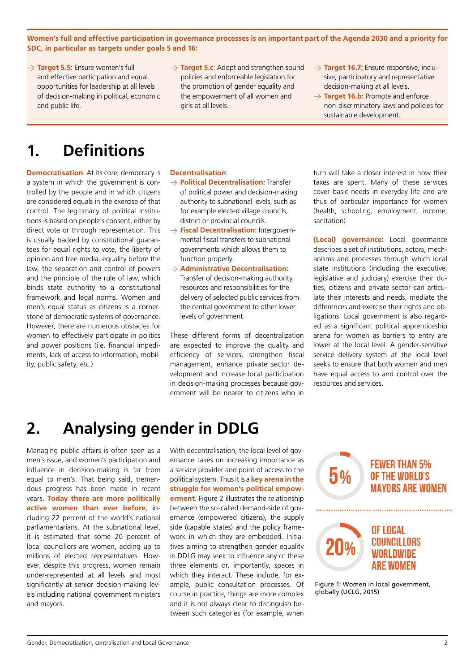**Women's full and effective participation in governance processes is an important part of the Agenda 2030 and a priority for SDC, in particular as targets under goals 5 and 16:**

- → **Target 5.5**: Ensure women's full and effective participation and equal opportunities for leadership at all levels of decision-making in political, economic and public life.
- → **Target 5.c**: Adopt and strengthen sound policies and enforceable legislation for the promotion of gender equality and the empowerment of all women and girls at all levels.
- → **Target 16.7:** Ensure responsive, inclusive, participatory and representative decision-making at all levels.
- $\rightarrow$  **Target 16.b:** Promote and enforce non-discriminatory laws and policies for sustainable development.

# **1. Definitions**

**Democratisation:** At its core, democracy is a system in which the government is controlled by the people and in which citizens are considered equals in the exercise of that control. The legitimacy of political institutions is based on people's consent, either by direct vote or through representation. This is usually backed by constitutional guarantees for equal rights to vote, the liberty of opinion and free media, equality before the law, the separation and control of powers and the principle of the rule of law, which binds state authority to a constitutional framework and legal norms. Women and men's equal status as citizens is a cornerstone of democratic systems of governance. However, there are numerous obstacles for women to effectively participate in politics and power positions (i.e. financial impediments, lack of access to information, mobility, public safety, etc.)

#### **Decentralisation**:

- > **Political Decentralisation:** Transfer of political power and decision-making authority to subnational levels, such as for example elected village councils, district or provincial councils.
- > **Fiscal Decentralisation:** Intergovernmental fiscal transfers to subnational governments which allows them to function properly.
- > **Administrative Decentralisation:** 
	- Transfer of decision-making authority, resources and responsibilities for the delivery of selected public services from the central government to other lower levels of government.

These different forms of decentralization are expected to improve the quality and efficiency of services, strengthen fiscal management, enhance private sector development and increase local participation in decision-making processes because government will be nearer to citizens who in

turn will take a closer interest in how their taxes are spent. Many of these services cover basic needs in everyday life and are thus of particular importance for women (health, schooling, employment, income, sanitation).

**(Local) governance**: Local governance describes a set of institutions, actors, mechanisms and processes through which local state institutions (including the executive, legislative and judiciary) exercise their duties, citizens and private sector can articulate their interests and needs, mediate the differences and exercise their rights and obligations. Local government is also regarded as a significant political apprenticeship arena for women as barriers to entry are lower at the local level. A gender-sensitive service delivery system at the local level seeks to ensure that both women and men have equal access to and control over the resources and services.

### **2. Analysing gender in DDLG**

Managing public affairs is often seen as a men's issue, and women's participation and influence in decision-making is far from equal to men's. That being said, tremendous progress has been made in recent years. **Today there are more politically active women than ever before**, including 22 percent of the world's national parliamentarians. At the subnational level, it is estimated that some 20 percent of local councillors are women, adding up to millions of elected representatives. However, despite this progress, women remain under-represented at all levels and most significantly at senior decision-making levels including national government ministers and mayors.

With decentralisation, the local level of governance takes on increasing importance as a service provider and point of access to the political system. Thus it is a **key arena in the struggle for women's political empowerment**. Figure 2 illustrates the relationship between the so-called demand-side of governance (empowered citizens), the supply side (capable states) and the policy framework in which they are embedded. Initiatives aiming to strengthen gender equality in DDLG may seek to influence any of these three elements or, importantly, spaces in which they interact. These include, for example, public consultation processes. Of course in practice, things are more complex and it is not always clear to distinguish between such categories (for example, when



Figure 1: Women in local government, globally (UCLG, 2015)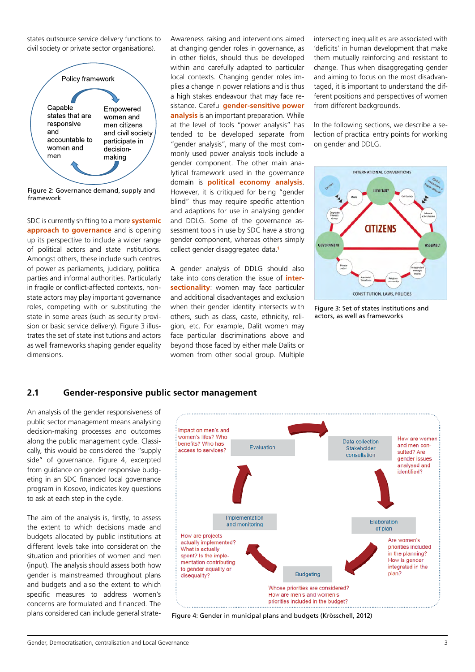states outsource service delivery functions to civil society or private sector organisations).



Figure 2: Governance demand, supply and framework

SDC is currently shifting to a more **systemic approach to governance** and is opening up its perspective to include a wider range of political actors and state institutions. Amongst others, these include such centres of power as parliaments, judiciary, political parties and informal authorities. Particularly in fragile or conflict-affected contexts, nonstate actors may play important governance roles, competing with or substituting the state in some areas (such as security provision or basic service delivery). Figure 3 illustrates the set of state institutions and actors as well frameworks shaping gender equality dimensions.

Awareness raising and interventions aimed at changing gender roles in governance, as in other fields, should thus be developed within and carefully adapted to particular local contexts. Changing gender roles implies a change in power relations and is thus a high stakes endeavour that may face resistance. Careful **gender-sensitive power analysis** is an important preparation. While at the level of tools "power analysis" has tended to be developed separate from "gender analysis", many of the most commonly used power analysis tools include a gender component. The other main analytical framework used in the governance domain is **political economy analysis**. However, it is critiqued for being "gender blind" thus may require specific attention and adaptions for use in analysing gender and DDLG. Some of the governance assessment tools in use by SDC have a strong gender component, whereas others simply collect gender disaggregated data.**<sup>1</sup>**

A gender analysis of DDLG should also take into consideration the issue of **intersectionality**: women may face particular and additional disadvantages and exclusion when their gender identity intersects with others, such as class, caste, ethnicity, religion, etc. For example, Dalit women may face particular discriminations above and beyond those faced by either male Dalits or women from other social group. Multiple

intersecting inequalities are associated with 'deficits' in human development that make them mutually reinforcing and resistant to change. Thus when disaggregating gender and aiming to focus on the most disadvantaged, it is important to understand the different positions and perspectives of women from different backgrounds.

In the following sections, we describe a selection of practical entry points for working on gender and DDLG.



Figure 3: Set of states institutions and actors, as well as frameworks

### **2.1 Gender-responsive public sector management**

An analysis of the gender responsiveness of public sector management means analysing decision-making processes and outcomes along the public management cycle. Classically, this would be considered the "supply side" of governance. Figure 4, excerpted from guidance on gender responsive budgeting in an SDC financed local governance program in Kosovo, indicates key questions to ask at each step in the cycle.

The aim of the analysis is, firstly, to assess the extent to which decisions made and budgets allocated by public institutions at different levels take into consideration the situation and priorities of women and men (input). The analysis should assess both how gender is mainstreamed throughout plans and budgets and also the extent to which specific measures to address women's concerns are formulated and financed. The plans considered can include general strate-



Figure 4: Gender in municipal plans and budgets (Krösschell, 2012)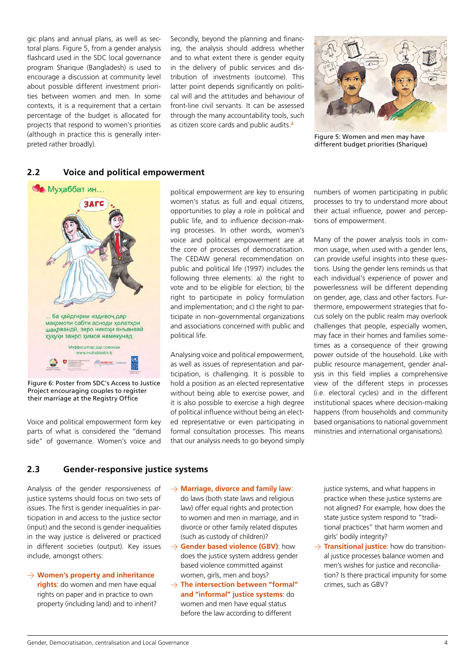gic plans and annual plans, as well as sectoral plans. Figure 5, from a gender analysis flashcard used in the SDC local governance program Sharique (Bangladesh) is used to encourage a discussion at community level about possible different investment priorities between women and men. In some contexts, it is a requirement that a certain percentage of the budget is allocated for projects that respond to women's priorities (although in practice this is generally interpreted rather broadly).

Secondly, beyond the planning and financing, the analysis should address whether and to what extent there is gender equity in the delivery of public services and distribution of investments (outcome). This latter point depends significantly on political will and the attitudes and behaviour of front-line civil servants. It can be assessed through the many accountability tools, such as citizen score cards and public audits.**<sup>2</sup>**



Figure 5: Women and men may have different budget priorities (Sharique)

### **2.2 Voice and political empowerment**



Figure 6: Poster from SDC's Access to Justice Project encouraging couples to register their marriage at the Registry Office

Voice and political empowerment form key parts of what is considered the "demand side" of governance. Women's voice and

political empowerment are key to ensuring women's status as full and equal citizens, opportunities to play a role in political and public life, and to influence decision-making processes. In other words, women's voice and political empowerment are at the core of processes of democratisation. The CEDAW general recommendation on public and political life (1997) includes the following three elements: a) the right to vote and to be eligible for election; b) the right to participate in policy formulation and implementation; and c) the right to participate in non-governmental organizations and associations concerned with public and political life.

Analysing voice and political empowerment, as well as issues of representation and participation, is challenging. It is possible to hold a position as an elected representative without being able to exercise power, and it is also possible to exercise a high degree of political influence without being an elected representative or even participating in formal consultation processes. This means that our analysis needs to go beyond simply numbers of women participating in public processes to try to understand more about their actual influence, power and perceptions of empowerment.

Many of the power analysis tools in common usage, when used with a gender lens, can provide useful insights into these questions. Using the gender lens reminds us that each individual's experience of power and powerlessness will be different depending on gender, age, class and other factors. Furthermore, empowerment strategies that focus solely on the public realm may overlook challenges that people, especially women, may face in their homes and families sometimes as a consequence of their growing power outside of the household. Like with public resource management, gender analysis in this field implies a comprehensive view of the different steps in processes (i.e. electoral cycles) and in the different institutional spaces where decision-making happens (from households and community based organisations to national government ministries and international organisations).

### **2.3 Gender-responsive justice systems**

Analysis of the gender responsiveness of justice systems should focus on two sets of issues. The first is gender inequalities in participation in and access to the justice sector (input) and the second is gender inequalities in the way justice is delivered or practiced in different societies (output). Key issues include, amongst others:

- > **Women's property and inheritance rights**: do women and men have equal rights on paper and in practice to own property (including land) and to inherit?
- > **Marriage, divorce and family law**: do laws (both state laws and religious law) offer equal rights and protection to women and men in marriage, and in divorce or other family related disputes (such as custody of children)?
- > **Gender based violence (GBV)**: how does the justice system address gender based violence committed against women, girls, men and boys?
- $\rightarrow$  The intersection between "formal" **and "informal" justice systems**: do women and men have equal status before the law according to different

justice systems, and what happens in practice when these justice systems are not aligned? For example, how does the state justice system respond to "traditional practices" that harm women and girls' bodily integrity?

 $\rightarrow$  **Transitional justice**: how do transitional justice processes balance women and men's wishes for justice and reconciliation? Is there practical impunity for some crimes, such as GBV?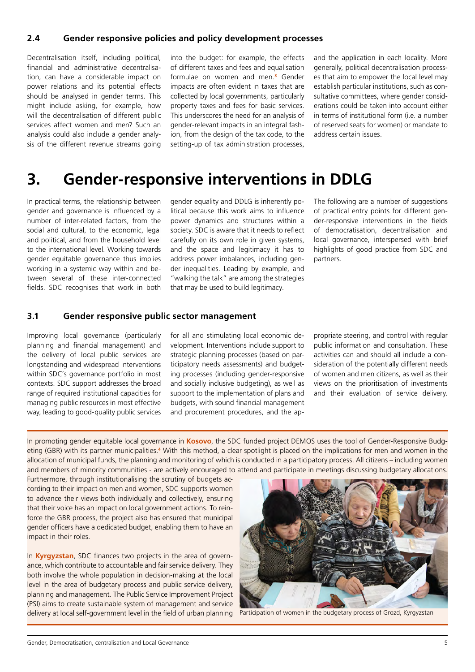### **2.4 Gender responsive policies and policy development processes**

Decentralisation itself, including political, financial and administrative decentralisation, can have a considerable impact on power relations and its potential effects should be analysed in gender terms. This might include asking, for example, how will the decentralisation of different public services affect women and men? Such an analysis could also include a gender analysis of the different revenue streams going into the budget: for example, the effects of different taxes and fees and equalisation formulae on women and men.**<sup>3</sup>** Gender impacts are often evident in taxes that are collected by local governments, particularly property taxes and fees for basic services. This underscores the need for an analysis of gender-relevant impacts in an integral fashion, from the design of the tax code, to the setting-up of tax administration processes,

and the application in each locality. More generally, political decentralisation processes that aim to empower the local level may establish particular institutions, such as consultative committees, where gender considerations could be taken into account either in terms of institutional form (i.e. a number of reserved seats for women) or mandate to address certain issues.

### **3. Gender-responsive interventions in DDLG**

In practical terms, the relationship between gender and governance is influenced by a number of inter-related factors, from the social and cultural, to the economic, legal and political, and from the household level to the international level. Working towards gender equitable governance thus implies working in a systemic way within and between several of these inter-connected fields. SDC recognises that work in both

gender equality and DDLG is inherently political because this work aims to influence power dynamics and structures within a society. SDC is aware that it needs to reflect carefully on its own role in given systems, and the space and legitimacy it has to address power imbalances, including gender inequalities. Leading by example, and "walking the talk" are among the strategies that may be used to build legitimacy.

The following are a number of suggestions of practical entry points for different gender-responsive interventions in the fields of democratisation, decentralisation and local governance, interspersed with brief highlights of good practice from SDC and partners.

#### **3.1 Gender responsive public sector management**

Improving local governance (particularly planning and financial management) and the delivery of local public services are longstanding and widespread interventions within SDC's governance portfolio in most contexts. SDC support addresses the broad range of required institutional capacities for managing public resources in most effective way, leading to good-quality public services for all and stimulating local economic development. Interventions include support to strategic planning processes (based on participatory needs assessments) and budgeting processes (including gender-responsive and socially inclusive budgeting), as well as support to the implementation of plans and budgets, with sound financial management and procurement procedures, and the appropriate steering, and control with regular public information and consultation. These activities can and should all include a consideration of the potentially different needs of women and men citizens, as well as their views on the prioritisation of investments and their evaluation of service delivery.

In promoting gender equitable local governance in **Kosovo**, the SDC funded project DEMOS uses the tool of Gender-Responsive Budgeting (GBR) with its partner municipalities.<sup>4</sup> With this method, a clear spotlight is placed on the implications for men and women in the allocation of municipal funds, the planning and monitoring of which is conducted in a participatory process. All citizens – including women and members of minority communities - are actively encouraged to attend and participate in meetings discussing budgetary allocations.

Furthermore, through institutionalising the scrutiny of budgets according to their impact on men and women, SDC supports women to advance their views both individually and collectively, ensuring that their voice has an impact on local government actions. To reinforce the GBR process, the project also has ensured that municipal gender officers have a dedicated budget, enabling them to have an impact in their roles.

In **Kyrgyzstan**, SDC finances two projects in the area of governance, which contribute to accountable and fair service delivery. They both involve the whole population in decision-making at the local level in the area of budgetary process and public service delivery, planning and management. The Public Service Improvement Project (PSI) aims to create sustainable system of management and service delivery at local self-government level in the field of urban planning



Participation of women in the budgetary process of Grozd, Kyrgyzstan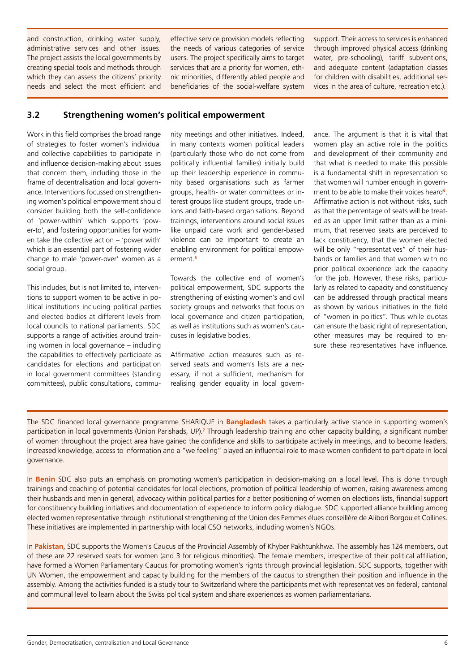and construction, drinking water supply, administrative services and other issues. The project assists the local governments by creating special tools and methods through which they can assess the citizens' priority needs and select the most efficient and effective service provision models reflecting the needs of various categories of service users. The project specifically aims to target services that are a priority for women, ethnic minorities, differently abled people and beneficiaries of the social-welfare system

support. Their access to services is enhanced through improved physical access (drinking water, pre-schooling), tariff subventions, and adequate content (adaptation classes for children with disabilities, additional services in the area of culture, recreation etc.).

### **3.2 Strengthening women's political empowerment**

Work in this field comprises the broad range of strategies to foster women's individual and collective capabilities to participate in and influence decision-making about issues that concern them, including those in the frame of decentralisation and local governance. Interventions focussed on strengthening women's political empowerment should consider building both the self-confidence of 'power-within' which supports 'power-to', and fostering opportunities for women take the collective action – 'power with' which is an essential part of fostering wider change to male 'power-over' women as a social group.

This includes, but is not limited to, interventions to support women to be active in political institutions including political parties and elected bodies at different levels from local councils to national parliaments. SDC supports a range of activities around training women in local governance – including the capabilities to effectively participate as candidates for elections and participation in local government committees (standing committees), public consultations, community meetings and other initiatives. Indeed, in many contexts women political leaders (particularly those who do not come from politically influential families) initially build up their leadership experience in community based organisations such as farmer groups, health- or water committees or interest groups like student groups, trade unions and faith-based organisations. Beyond trainings, interventions around social issues like unpaid care work and gender-based violence can be important to create an enabling environment for political empowerment.**<sup>5</sup>**

Towards the collective end of women's political empowerment, SDC supports the strengthening of existing women's and civil society groups and networks that focus on local governance and citizen participation, as well as institutions such as women's caucuses in legislative bodies.

Affirmative action measures such as reserved seats and women's lists are a necessary, if not a sufficient, mechanism for realising gender equality in local governance. The argument is that it is vital that women play an active role in the politics and development of their community and that what is needed to make this possible is a fundamental shift in representation so that women will number enough in government to be able to make their voices heard**<sup>6</sup>**. Affirmative action is not without risks, such as that the percentage of seats will be treated as an upper limit rather than as a minimum, that reserved seats are perceived to lack constituency, that the women elected will be only "representatives" of their husbands or families and that women with no prior political experience lack the capacity for the job. However, these risks, particularly as related to capacity and constituency can be addressed through practical means as shown by various initiatives in the field of "women in politics". Thus while quotas can ensure the basic right of representation, other measures may be required to ensure these representatives have influence.

The SDC financed local governance programme SHARIQUE in **Bangladesh** takes a particularly active stance in supporting women's participation in local governments (Union Parishads, UP).**<sup>7</sup>** Through leadership training and other capacity building, a significant number of women throughout the project area have gained the confidence and skills to participate actively in meetings, and to become leaders. Increased knowledge, access to information and a "we feeling" played an influential role to make women confident to participate in local governance.

In **Benin** SDC also puts an emphasis on promoting women's participation in decision-making on a local level. This is done through trainings and coaching of potential candidates for local elections, promotion of political leadership of women, raising awareness among their husbands and men in general, advocacy within political parties for a better positioning of women on elections lists, financial support for constituency building initiatives and documentation of experience to inform policy dialogue. SDC supported alliance building among elected women representative through institutional strengthening of the Union des Femmes élues conseillère de Alibori Borgou et Collines. These initiatives are implemented in partnership with local CSO networks, including women's NGOs.

In **Pakistan**, SDC supports the Women's Caucus of the Provincial Assembly of Khyber Pakhtunkhwa. The assembly has 124 members, out of these are 22 reserved seats for women (and 3 for religious minorities). The female members, irrespective of their political affiliation, have formed a Women Parliamentary Caucus for promoting women's rights through provincial legislation. SDC supports, together with UN Women, the empowerment and capacity building for the members of the caucus to strengthen their position and influence in the assembly. Among the activities funded is a study tour to Switzerland where the participants met with representatives on federal, cantonal and communal level to learn about the Swiss political system and share experiences as women parliamentarians.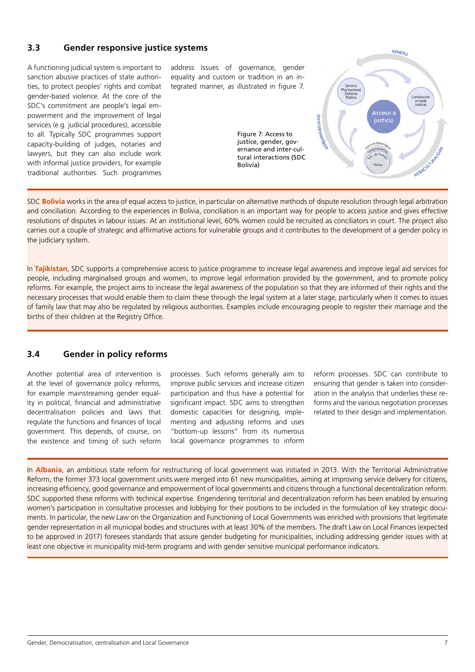### **3.3 Gender responsive justice systems**

A functioning judicial system is important to sanction abusive practices of state authorities, to protect peoples' rights and combat gender-based violence. At the core of the SDC's commitment are people's legal empowerment and the improvement of legal services (e.g. judicial procedures), accessible to all. Typically SDC programmes support capacity-building of judges, notaries and lawyers, but they can also include work with informal justice providers, for example traditional authorities. Such programmes

address issues of governance, gender equality and custom or tradition in an integrated manner, as illustrated in figure 7.

> Figure 7: Access to justice, gender, governance and inter-cultural interactions (SDC Bolivia)



SDC **Bolivia** works in the area of equal access to justice, in particular on alternative methods of dispute resolution through legal arbitration and conciliation. According to the experiences in Bolivia, conciliation is an important way for people to access justice and gives effective resolutions of disputes in labour issues. At an institutional level, 60% women could be recruited as conciliators in court. The project also carries out a couple of strategic and affirmative actions for vulnerable groups and it contributes to the development of a gender policy in the judiciary system.

In **Tajikistan**, SDC supports a comprehensive access to justice programme to increase legal awareness and improve legal aid services for people, including marginalised groups and women, to improve legal information provided by the government, and to promote policy reforms. For example, the project aims to increase the legal awareness of the population so that they are informed of their rights and the necessary processes that would enable them to claim these through the legal system at a later stage, particularly when it comes to issues of family law that may also be regulated by religious authorities. Examples include encouraging people to register their marriage and the births of their children at the Registry Office.

### **3.4 Gender in policy reforms**

Another potential area of intervention is at the level of governance policy reforms, for example mainstreaming gender equality in political, financial and administrative decentralisation policies and laws that regulate the functions and finances of local government. This depends, of course, on the existence and timing of such reform processes. Such reforms generally aim to improve public services and increase citizen participation and thus have a potential for significant impact. SDC aims to strengthen domestic capacities for designing, implementing and adjusting reforms and uses "bottom-up lessons" from its numerous local governance programmes to inform

reform processes. SDC can contribute to ensuring that gender is taken into consideration in the analysis that underlies these reforms and the various negotiation processes related to their design and implementation.

In **Albania**, an ambitious state reform for restructuring of local government was initiated in 2013. With the Territorial Administrative Reform, the former 373 local government units were merged into 61 new municipalities, aiming at improving service delivery for citizens, increasing efficiency, good governance and empowerment of local governments and citizens through a functional decentralization reform. SDC supported these reforms with technical expertise. Engendering territorial and decentralization reform has been enabled by ensuring women's participation in consultative processes and lobbying for their positions to be included in the formulation of key strategic documents. In particular, the new Law on the Organization and Functioning of Local Governments was enriched with provisions that legitimate gender representation in all municipal bodies and structures with at least 30% of the members. The draft Law on Local Finances (expected to be approved in 2017) foresees standards that assure gender budgeting for municipalities, including addressing gender issues with at least one objective in municipality mid-term programs and with gender sensitive municipal performance indicators.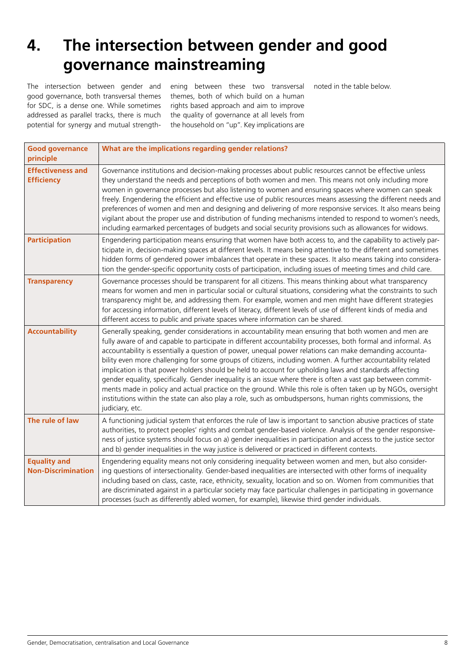# **4. The intersection between gender and good governance mainstreaming**

The intersection between gender and good governance, both transversal themes for SDC, is a dense one. While sometimes addressed as parallel tracks, there is much potential for synergy and mutual strengthening between these two transversal themes, both of which build on a human rights based approach and aim to improve the quality of governance at all levels from the household on "up". Key implications are

noted in the table below.

| <b>Good governance</b><br>principle              | What are the implications regarding gender relations?                                                                                                                                                                                                                                                                                                                                                                                                                                                                                                                                                                                                                                                                                                                                                                                                                                                                     |
|--------------------------------------------------|---------------------------------------------------------------------------------------------------------------------------------------------------------------------------------------------------------------------------------------------------------------------------------------------------------------------------------------------------------------------------------------------------------------------------------------------------------------------------------------------------------------------------------------------------------------------------------------------------------------------------------------------------------------------------------------------------------------------------------------------------------------------------------------------------------------------------------------------------------------------------------------------------------------------------|
| <b>Effectiveness and</b><br><b>Efficiency</b>    | Governance institutions and decision-making processes about public resources cannot be effective unless<br>they understand the needs and perceptions of both women and men. This means not only including more<br>women in governance processes but also listening to women and ensuring spaces where women can speak<br>freely. Engendering the efficient and effective use of public resources means assessing the different needs and<br>preferences of women and men and designing and delivering of more responsive services. It also means being<br>vigilant about the proper use and distribution of funding mechanisms intended to respond to women's needs,<br>including earmarked percentages of budgets and social security provisions such as allowances for widows.                                                                                                                                          |
| <b>Participation</b>                             | Engendering participation means ensuring that women have both access to, and the capability to actively par-<br>ticipate in, decision-making spaces at different levels. It means being attentive to the different and sometimes<br>hidden forms of gendered power imbalances that operate in these spaces. It also means taking into considera-<br>tion the gender-specific opportunity costs of participation, including issues of meeting times and child care.                                                                                                                                                                                                                                                                                                                                                                                                                                                        |
| <b>Transparency</b>                              | Governance processes should be transparent for all citizens. This means thinking about what transparency<br>means for women and men in particular social or cultural situations, considering what the constraints to such<br>transparency might be, and addressing them. For example, women and men might have different strategies<br>for accessing information, different levels of literacy, different levels of use of different kinds of media and<br>different access to public and private spaces where information can be shared.                                                                                                                                                                                                                                                                                                                                                                                 |
| <b>Accountability</b>                            | Generally speaking, gender considerations in accountability mean ensuring that both women and men are<br>fully aware of and capable to participate in different accountability processes, both formal and informal. As<br>accountability is essentially a question of power, unequal power relations can make demanding accounta-<br>bility even more challenging for some groups of citizens, including women. A further accountability related<br>implication is that power holders should be held to account for upholding laws and standards affecting<br>gender equality, specifically. Gender inequality is an issue where there is often a vast gap between commit-<br>ments made in policy and actual practice on the ground. While this role is often taken up by NGOs, oversight<br>institutions within the state can also play a role, such as ombudspersons, human rights commissions, the<br>judiciary, etc. |
| The rule of law                                  | A functioning judicial system that enforces the rule of law is important to sanction abusive practices of state<br>authorities, to protect peoples' rights and combat gender-based violence. Analysis of the gender responsive-<br>ness of justice systems should focus on a) gender inequalities in participation and access to the justice sector<br>and b) gender inequalities in the way justice is delivered or practiced in different contexts.                                                                                                                                                                                                                                                                                                                                                                                                                                                                     |
| <b>Equality and</b><br><b>Non-Discrimination</b> | Engendering equality means not only considering inequality between women and men, but also consider-<br>ing questions of intersectionality. Gender-based inequalities are intersected with other forms of inequality<br>including based on class, caste, race, ethnicity, sexuality, location and so on. Women from communities that<br>are discriminated against in a particular society may face particular challenges in participating in governance<br>processes (such as differently abled women, for example), likewise third gender individuals.                                                                                                                                                                                                                                                                                                                                                                   |